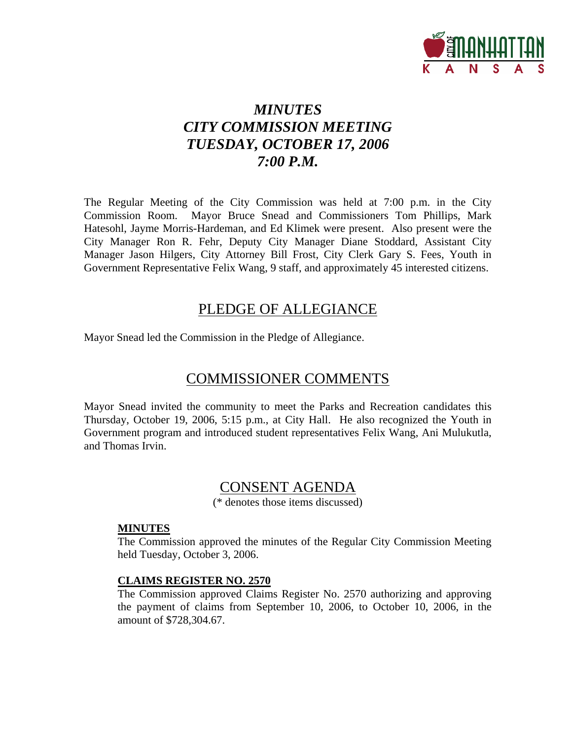

# *MINUTES CITY COMMISSION MEETING TUESDAY, OCTOBER 17, 2006 7:00 P.M.*

The Regular Meeting of the City Commission was held at 7:00 p.m. in the City Commission Room. Mayor Bruce Snead and Commissioners Tom Phillips, Mark Hatesohl, Jayme Morris-Hardeman, and Ed Klimek were present. Also present were the City Manager Ron R. Fehr, Deputy City Manager Diane Stoddard, Assistant City Manager Jason Hilgers, City Attorney Bill Frost, City Clerk Gary S. Fees, Youth in Government Representative Felix Wang, 9 staff, and approximately 45 interested citizens.

# PLEDGE OF ALLEGIANCE

Mayor Snead led the Commission in the Pledge of Allegiance.

# COMMISSIONER COMMENTS

Mayor Snead invited the community to meet the Parks and Recreation candidates this Thursday, October 19, 2006, 5:15 p.m., at City Hall. He also recognized the Youth in Government program and introduced student representatives Felix Wang, Ani Mulukutla, and Thomas Irvin.

# CONSENT AGENDA

(\* denotes those items discussed)

## **MINUTES**

The Commission approved the minutes of the Regular City Commission Meeting held Tuesday, October 3, 2006.

#### **CLAIMS REGISTER NO. 2570**

The Commission approved Claims Register No. 2570 authorizing and approving the payment of claims from September 10, 2006, to October 10, 2006, in the amount of \$728,304.67.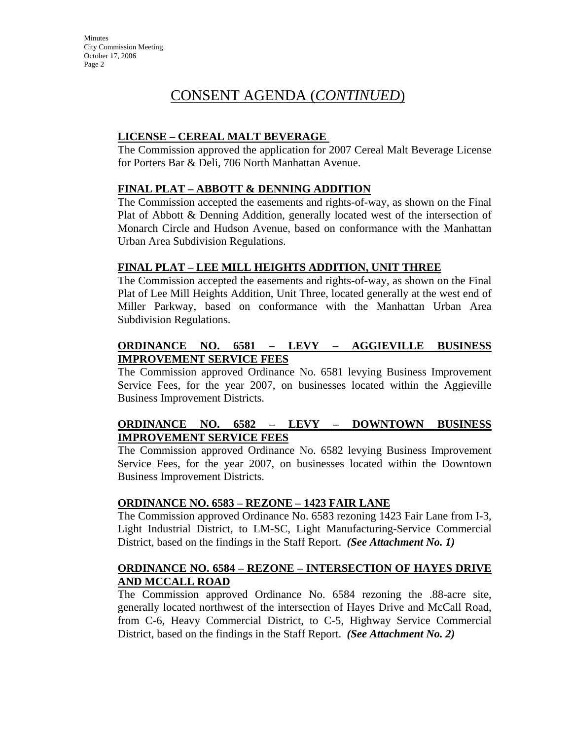**Minutes** City Commission Meeting October 17, 2006 Page 2

# CONSENT AGENDA (*CONTINUED*)

## **LICENSE – CEREAL MALT BEVERAGE**

The Commission approved the application for 2007 Cereal Malt Beverage License for Porters Bar & Deli, 706 North Manhattan Avenue.

## **FINAL PLAT – ABBOTT & DENNING ADDITION**

The Commission accepted the easements and rights-of-way, as shown on the Final Plat of Abbott & Denning Addition, generally located west of the intersection of Monarch Circle and Hudson Avenue, based on conformance with the Manhattan Urban Area Subdivision Regulations.

#### **FINAL PLAT – LEE MILL HEIGHTS ADDITION, UNIT THREE**

The Commission accepted the easements and rights-of-way, as shown on the Final Plat of Lee Mill Heights Addition, Unit Three, located generally at the west end of Miller Parkway, based on conformance with the Manhattan Urban Area Subdivision Regulations.

## **ORDINANCE NO. 6581 – LEVY – AGGIEVILLE BUSINESS IMPROVEMENT SERVICE FEES**

The Commission approved Ordinance No. 6581 levying Business Improvement Service Fees, for the year 2007, on businesses located within the Aggieville Business Improvement Districts.

## **ORDINANCE NO. 6582 – LEVY – DOWNTOWN BUSINESS IMPROVEMENT SERVICE FEES**

The Commission approved Ordinance No. 6582 levying Business Improvement Service Fees, for the year 2007, on businesses located within the Downtown Business Improvement Districts.

#### **ORDINANCE NO. 6583 – REZONE – 1423 FAIR LANE**

The Commission approved Ordinance No. 6583 rezoning 1423 Fair Lane from I-3, Light Industrial District, to LM-SC, Light Manufacturing-Service Commercial District, based on the findings in the Staff Report. *(See Attachment No. 1)*

#### **ORDINANCE NO. 6584 – REZONE – INTERSECTION OF HAYES DRIVE AND MCCALL ROAD**

The Commission approved Ordinance No. 6584 rezoning the .88-acre site, generally located northwest of the intersection of Hayes Drive and McCall Road, from C-6, Heavy Commercial District, to C-5, Highway Service Commercial District, based on the findings in the Staff Report. *(See Attachment No. 2)*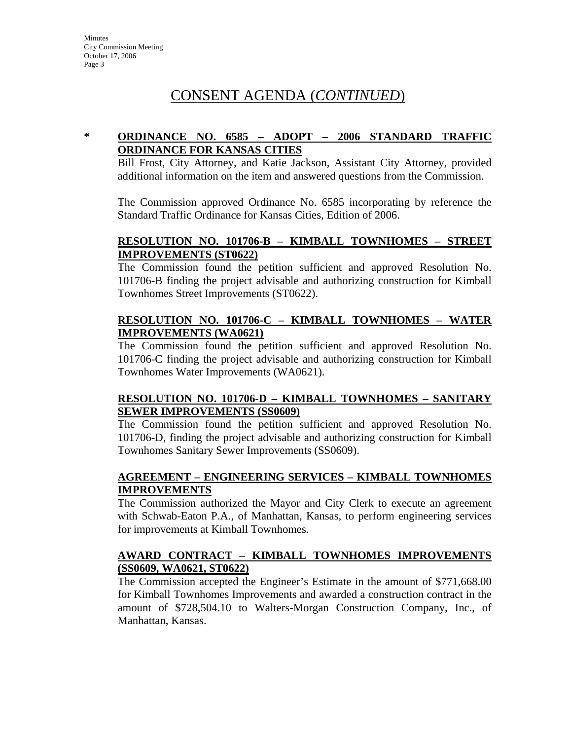# CONSENT AGENDA (*CONTINUED*)

# **\* ORDINANCE NO. 6585 – ADOPT – 2006 STANDARD TRAFFIC ORDINANCE FOR KANSAS CITIES**

Bill Frost, City Attorney, and Katie Jackson, Assistant City Attorney, provided additional information on the item and answered questions from the Commission.

The Commission approved Ordinance No. 6585 incorporating by reference the Standard Traffic Ordinance for Kansas Cities, Edition of 2006.

## **RESOLUTION NO. 101706-B – KIMBALL TOWNHOMES – STREET IMPROVEMENTS (ST0622)**

The Commission found the petition sufficient and approved Resolution No. 101706-B finding the project advisable and authorizing construction for Kimball Townhomes Street Improvements (ST0622).

## **RESOLUTION NO. 101706-C – KIMBALL TOWNHOMES – WATER IMPROVEMENTS (WA0621)**

The Commission found the petition sufficient and approved Resolution No. 101706-C finding the project advisable and authorizing construction for Kimball Townhomes Water Improvements (WA0621).

# **RESOLUTION NO. 101706-D – KIMBALL TOWNHOMES – SANITARY SEWER IMPROVEMENTS (SS0609)**

The Commission found the petition sufficient and approved Resolution No. 101706-D, finding the project advisable and authorizing construction for Kimball Townhomes Sanitary Sewer Improvements (SS0609).

## **AGREEMENT – ENGINEERING SERVICES – KIMBALL TOWNHOMES IMPROVEMENTS**

The Commission authorized the Mayor and City Clerk to execute an agreement with Schwab-Eaton P.A., of Manhattan, Kansas, to perform engineering services for improvements at Kimball Townhomes.

## **AWARD CONTRACT – KIMBALL TOWNHOMES IMPROVEMENTS (SS0609, WA0621, ST0622)**

The Commission accepted the Engineer's Estimate in the amount of \$771,668.00 for Kimball Townhomes Improvements and awarded a construction contract in the amount of \$728,504.10 to Walters-Morgan Construction Company, Inc., of Manhattan, Kansas.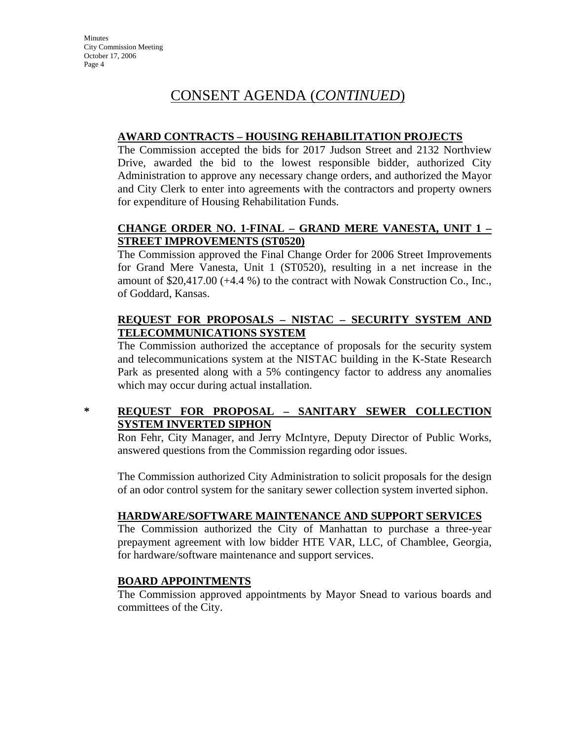# CONSENT AGENDA (*CONTINUED*)

## **AWARD CONTRACTS – HOUSING REHABILITATION PROJECTS**

The Commission accepted the bids for 2017 Judson Street and 2132 Northview Drive, awarded the bid to the lowest responsible bidder, authorized City Administration to approve any necessary change orders, and authorized the Mayor and City Clerk to enter into agreements with the contractors and property owners for expenditure of Housing Rehabilitation Funds.

# **CHANGE ORDER NO. 1-FINAL – GRAND MERE VANESTA, UNIT 1 – STREET IMPROVEMENTS (ST0520)**

The Commission approved the Final Change Order for 2006 Street Improvements for Grand Mere Vanesta, Unit 1 (ST0520), resulting in a net increase in the amount of \$20,417.00 (+4.4 %) to the contract with Nowak Construction Co., Inc., of Goddard, Kansas.

# **REQUEST FOR PROPOSALS – NISTAC – SECURITY SYSTEM AND TELECOMMUNICATIONS SYSTEM**

The Commission authorized the acceptance of proposals for the security system and telecommunications system at the NISTAC building in the K-State Research Park as presented along with a 5% contingency factor to address any anomalies which may occur during actual installation.

# **\* REQUEST FOR PROPOSAL – SANITARY SEWER COLLECTION SYSTEM INVERTED SIPHON**

Ron Fehr, City Manager, and Jerry McIntyre, Deputy Director of Public Works, answered questions from the Commission regarding odor issues.

The Commission authorized City Administration to solicit proposals for the design of an odor control system for the sanitary sewer collection system inverted siphon.

# **HARDWARE/SOFTWARE MAINTENANCE AND SUPPORT SERVICES**

The Commission authorized the City of Manhattan to purchase a three-year prepayment agreement with low bidder HTE VAR, LLC, of Chamblee, Georgia, for hardware/software maintenance and support services.

## **BOARD APPOINTMENTS**

The Commission approved appointments by Mayor Snead to various boards and committees of the City.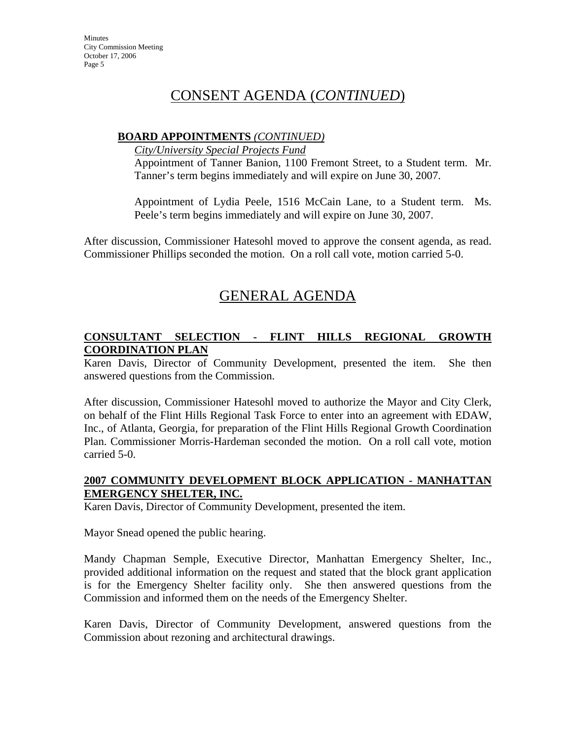**Minutes** City Commission Meeting October 17, 2006 Page 5

# CONSENT AGENDA (*CONTINUED*)

#### **BOARD APPOINTMENTS** *(CONTINUED)*

*City/University Special Projects Fund*

Appointment of Tanner Banion, 1100 Fremont Street, to a Student term. Mr. Tanner's term begins immediately and will expire on June 30, 2007.

Appointment of Lydia Peele, 1516 McCain Lane, to a Student term. Ms. Peele's term begins immediately and will expire on June 30, 2007.

After discussion, Commissioner Hatesohl moved to approve the consent agenda, as read. Commissioner Phillips seconded the motion. On a roll call vote, motion carried 5-0.

# GENERAL AGENDA

# **CONSULTANT SELECTION - FLINT HILLS REGIONAL GROWTH COORDINATION PLAN**

Karen Davis, Director of Community Development, presented the item. She then answered questions from the Commission.

After discussion, Commissioner Hatesohl moved to authorize the Mayor and City Clerk, on behalf of the Flint Hills Regional Task Force to enter into an agreement with EDAW, Inc., of Atlanta, Georgia, for preparation of the Flint Hills Regional Growth Coordination Plan. Commissioner Morris-Hardeman seconded the motion. On a roll call vote, motion carried 5-0.

## **2007 COMMUNITY DEVELOPMENT BLOCK APPLICATION - MANHATTAN EMERGENCY SHELTER, INC.**

Karen Davis, Director of Community Development, presented the item.

Mayor Snead opened the public hearing.

Mandy Chapman Semple, Executive Director, Manhattan Emergency Shelter, Inc., provided additional information on the request and stated that the block grant application is for the Emergency Shelter facility only. She then answered questions from the Commission and informed them on the needs of the Emergency Shelter.

Karen Davis, Director of Community Development, answered questions from the Commission about rezoning and architectural drawings.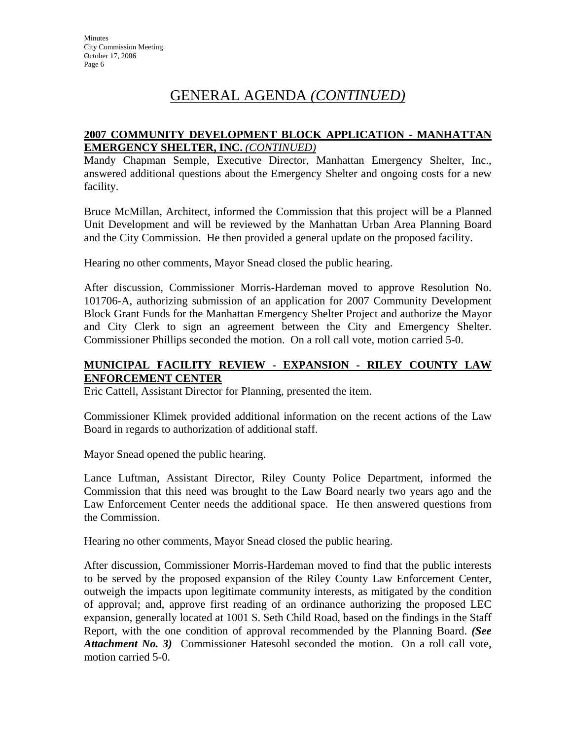# **2007 COMMUNITY DEVELOPMENT BLOCK APPLICATION - MANHATTAN EMERGENCY SHELTER, INC.** *(CONTINUED)*

Mandy Chapman Semple, Executive Director, Manhattan Emergency Shelter, Inc., answered additional questions about the Emergency Shelter and ongoing costs for a new facility.

Bruce McMillan, Architect, informed the Commission that this project will be a Planned Unit Development and will be reviewed by the Manhattan Urban Area Planning Board and the City Commission. He then provided a general update on the proposed facility.

Hearing no other comments, Mayor Snead closed the public hearing.

After discussion, Commissioner Morris-Hardeman moved to approve Resolution No. 101706-A, authorizing submission of an application for 2007 Community Development Block Grant Funds for the Manhattan Emergency Shelter Project and authorize the Mayor and City Clerk to sign an agreement between the City and Emergency Shelter. Commissioner Phillips seconded the motion. On a roll call vote, motion carried 5-0.

## **MUNICIPAL FACILITY REVIEW - EXPANSION - RILEY COUNTY LAW ENFORCEMENT CENTER**

Eric Cattell, Assistant Director for Planning, presented the item.

Commissioner Klimek provided additional information on the recent actions of the Law Board in regards to authorization of additional staff.

Mayor Snead opened the public hearing.

Lance Luftman, Assistant Director, Riley County Police Department, informed the Commission that this need was brought to the Law Board nearly two years ago and the Law Enforcement Center needs the additional space. He then answered questions from the Commission.

Hearing no other comments, Mayor Snead closed the public hearing.

After discussion, Commissioner Morris-Hardeman moved to find that the public interests to be served by the proposed expansion of the Riley County Law Enforcement Center, outweigh the impacts upon legitimate community interests, as mitigated by the condition of approval; and, approve first reading of an ordinance authorizing the proposed LEC expansion, generally located at 1001 S. Seth Child Road, based on the findings in the Staff Report, with the one condition of approval recommended by the Planning Board. *(See Attachment No. 3)* Commissioner Hatesohl seconded the motion. On a roll call vote, motion carried 5-0.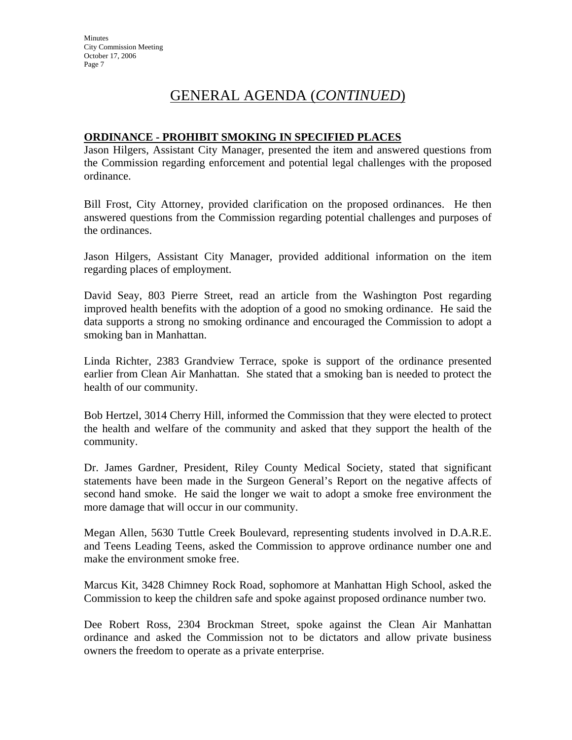### **ORDINANCE - PROHIBIT SMOKING IN SPECIFIED PLACES**

Jason Hilgers, Assistant City Manager, presented the item and answered questions from the Commission regarding enforcement and potential legal challenges with the proposed ordinance.

Bill Frost, City Attorney, provided clarification on the proposed ordinances. He then answered questions from the Commission regarding potential challenges and purposes of the ordinances.

Jason Hilgers, Assistant City Manager, provided additional information on the item regarding places of employment.

David Seay, 803 Pierre Street, read an article from the Washington Post regarding improved health benefits with the adoption of a good no smoking ordinance. He said the data supports a strong no smoking ordinance and encouraged the Commission to adopt a smoking ban in Manhattan.

Linda Richter, 2383 Grandview Terrace, spoke is support of the ordinance presented earlier from Clean Air Manhattan. She stated that a smoking ban is needed to protect the health of our community.

Bob Hertzel, 3014 Cherry Hill, informed the Commission that they were elected to protect the health and welfare of the community and asked that they support the health of the community.

Dr. James Gardner, President, Riley County Medical Society, stated that significant statements have been made in the Surgeon General's Report on the negative affects of second hand smoke. He said the longer we wait to adopt a smoke free environment the more damage that will occur in our community.

Megan Allen, 5630 Tuttle Creek Boulevard, representing students involved in D.A.R.E. and Teens Leading Teens, asked the Commission to approve ordinance number one and make the environment smoke free.

Marcus Kit, 3428 Chimney Rock Road, sophomore at Manhattan High School, asked the Commission to keep the children safe and spoke against proposed ordinance number two.

Dee Robert Ross, 2304 Brockman Street, spoke against the Clean Air Manhattan ordinance and asked the Commission not to be dictators and allow private business owners the freedom to operate as a private enterprise.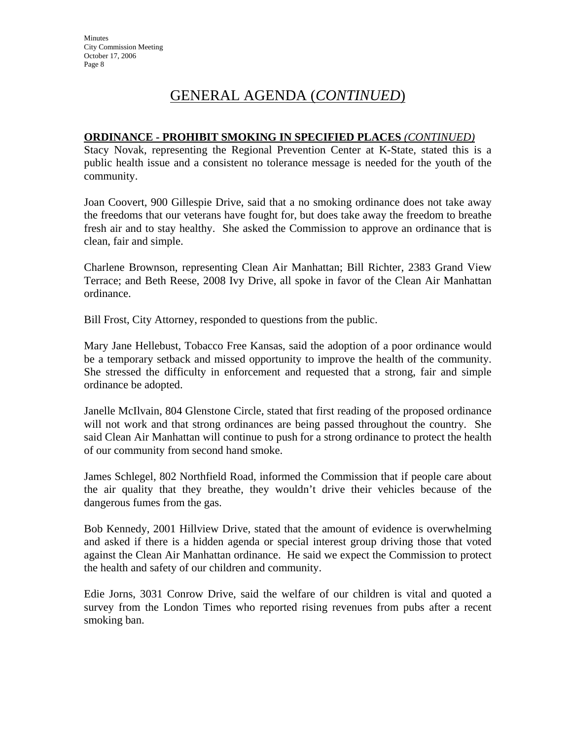#### **ORDINANCE - PROHIBIT SMOKING IN SPECIFIED PLACES** *(CONTINUED)*

Stacy Novak, representing the Regional Prevention Center at K-State, stated this is a public health issue and a consistent no tolerance message is needed for the youth of the community.

Joan Coovert, 900 Gillespie Drive, said that a no smoking ordinance does not take away the freedoms that our veterans have fought for, but does take away the freedom to breathe fresh air and to stay healthy. She asked the Commission to approve an ordinance that is clean, fair and simple.

Charlene Brownson, representing Clean Air Manhattan; Bill Richter, 2383 Grand View Terrace; and Beth Reese, 2008 Ivy Drive, all spoke in favor of the Clean Air Manhattan ordinance.

Bill Frost, City Attorney, responded to questions from the public.

Mary Jane Hellebust, Tobacco Free Kansas, said the adoption of a poor ordinance would be a temporary setback and missed opportunity to improve the health of the community. She stressed the difficulty in enforcement and requested that a strong, fair and simple ordinance be adopted.

Janelle McIlvain, 804 Glenstone Circle, stated that first reading of the proposed ordinance will not work and that strong ordinances are being passed throughout the country. She said Clean Air Manhattan will continue to push for a strong ordinance to protect the health of our community from second hand smoke.

James Schlegel, 802 Northfield Road, informed the Commission that if people care about the air quality that they breathe, they wouldn't drive their vehicles because of the dangerous fumes from the gas.

Bob Kennedy, 2001 Hillview Drive, stated that the amount of evidence is overwhelming and asked if there is a hidden agenda or special interest group driving those that voted against the Clean Air Manhattan ordinance. He said we expect the Commission to protect the health and safety of our children and community.

Edie Jorns, 3031 Conrow Drive, said the welfare of our children is vital and quoted a survey from the London Times who reported rising revenues from pubs after a recent smoking ban.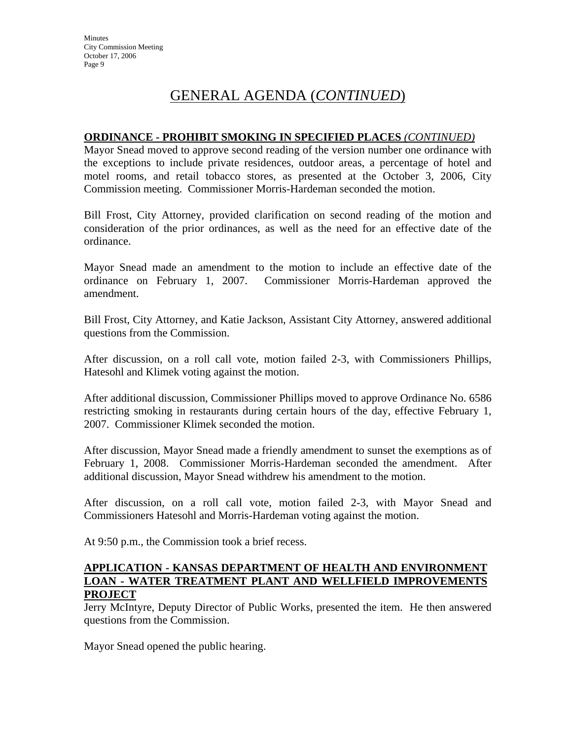#### **ORDINANCE - PROHIBIT SMOKING IN SPECIFIED PLACES** *(CONTINUED)*

Mayor Snead moved to approve second reading of the version number one ordinance with the exceptions to include private residences, outdoor areas, a percentage of hotel and motel rooms, and retail tobacco stores, as presented at the October 3, 2006, City Commission meeting. Commissioner Morris-Hardeman seconded the motion.

Bill Frost, City Attorney, provided clarification on second reading of the motion and consideration of the prior ordinances, as well as the need for an effective date of the ordinance.

Mayor Snead made an amendment to the motion to include an effective date of the ordinance on February 1, 2007. Commissioner Morris-Hardeman approved the amendment.

Bill Frost, City Attorney, and Katie Jackson, Assistant City Attorney, answered additional questions from the Commission.

After discussion, on a roll call vote, motion failed 2-3, with Commissioners Phillips, Hatesohl and Klimek voting against the motion.

After additional discussion, Commissioner Phillips moved to approve Ordinance No. 6586 restricting smoking in restaurants during certain hours of the day, effective February 1, 2007. Commissioner Klimek seconded the motion.

After discussion, Mayor Snead made a friendly amendment to sunset the exemptions as of February 1, 2008. Commissioner Morris-Hardeman seconded the amendment. After additional discussion, Mayor Snead withdrew his amendment to the motion.

After discussion, on a roll call vote, motion failed 2-3, with Mayor Snead and Commissioners Hatesohl and Morris-Hardeman voting against the motion.

At 9:50 p.m., the Commission took a brief recess.

#### **APPLICATION - KANSAS DEPARTMENT OF HEALTH AND ENVIRONMENT LOAN - WATER TREATMENT PLANT AND WELLFIELD IMPROVEMENTS PROJECT**

Jerry McIntyre, Deputy Director of Public Works, presented the item. He then answered questions from the Commission.

Mayor Snead opened the public hearing.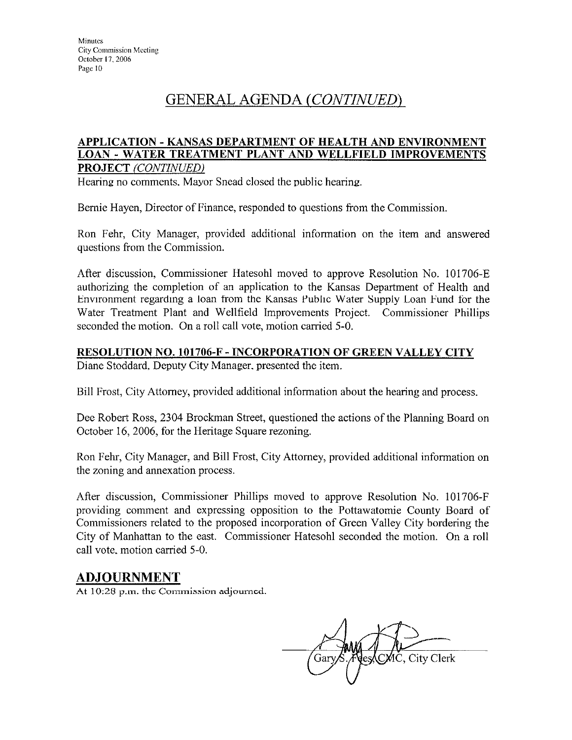#### APPLICATION - KANSAS DEPARTMENT OF HEALTH AND ENVIRONMENT **LOAN - WATER TREATMENT PLANT AND WELLFIELD IMPROVEMENTS PROJECT** (CONTINUED)

Hearing no comments, Mayor Snead closed the public hearing.

Bernie Hayen, Director of Finance, responded to questions from the Commission.

Ron Fehr, City Manager, provided additional information on the item and answered questions from the Commission.

After discussion, Commissioner Hatesohl moved to approve Resolution No. 101706-E authorizing the completion of an application to the Kansas Department of Health and Environment regarding a loan from the Kansas Public Water Supply Loan Fund for the Water Treatment Plant and Wellfield Improvements Project. Commissioner Phillips seconded the motion. On a roll call vote, motion carried 5-0.

## RESOLUTION NO. 101706-F - INCORPORATION OF GREEN VALLEY CITY

Diane Stoddard, Deputy City Manager, presented the item.

Bill Frost, City Attorney, provided additional information about the hearing and process.

Dee Robert Ross, 2304 Brockman Street, questioned the actions of the Planning Board on October 16, 2006, for the Heritage Square rezoning.

Ron Fehr, City Manager, and Bill Frost, City Attorney, provided additional information on the zoning and annexation process.

After discussion, Commissioner Phillips moved to approve Resolution No. 101706-F providing comment and expressing opposition to the Pottawatomie County Board of Commissioners related to the proposed incorporation of Green Valley City bordering the City of Manhattan to the east. Commissioner Hatesohl seconded the motion. On a roll call vote, motion carried 5-0.

# **ADJOURNMENT**

At 10:28 p.m. the Commission adjourned.

, City Clerk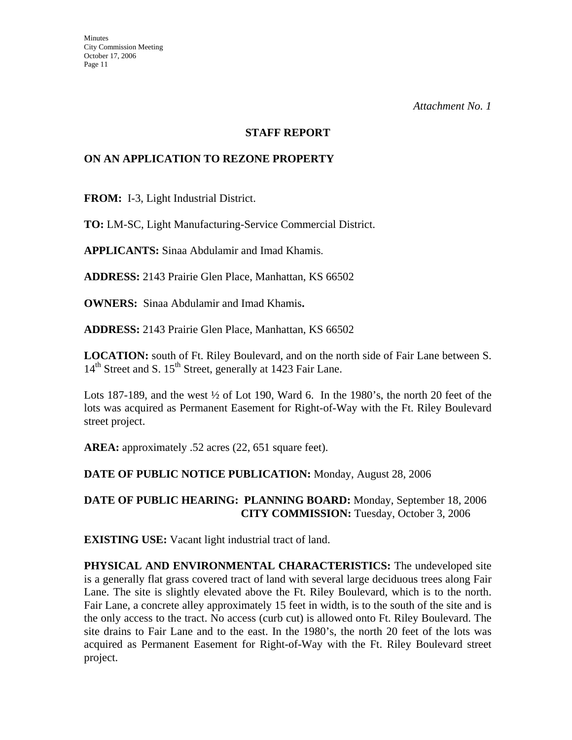#### **STAFF REPORT**

## **ON AN APPLICATION TO REZONE PROPERTY**

**FROM:** I-3, Light Industrial District.

**TO:** LM-SC, Light Manufacturing-Service Commercial District.

**APPLICANTS:** Sinaa Abdulamir and Imad Khamis.

**ADDRESS:** 2143 Prairie Glen Place, Manhattan, KS 66502

**OWNERS:** Sinaa Abdulamir and Imad Khamis**.** 

**ADDRESS:** 2143 Prairie Glen Place, Manhattan, KS 66502

**LOCATION:** south of Ft. Riley Boulevard, and on the north side of Fair Lane between S. 14<sup>th</sup> Street and S. 15<sup>th</sup> Street, generally at 1423 Fair Lane.

Lots 187-189, and the west <sup>1</sup>/<sub>2</sub> of Lot 190, Ward 6. In the 1980's, the north 20 feet of the lots was acquired as Permanent Easement for Right-of-Way with the Ft. Riley Boulevard street project.

**AREA:** approximately .52 acres (22, 651 square feet).

## **DATE OF PUBLIC NOTICE PUBLICATION:** Monday, August 28, 2006

**DATE OF PUBLIC HEARING: PLANNING BOARD:** Monday, September 18, 2006 **CITY COMMISSION:** Tuesday, October 3, 2006

**EXISTING USE:** Vacant light industrial tract of land.

**PHYSICAL AND ENVIRONMENTAL CHARACTERISTICS:** The undeveloped site is a generally flat grass covered tract of land with several large deciduous trees along Fair Lane. The site is slightly elevated above the Ft. Riley Boulevard, which is to the north. Fair Lane, a concrete alley approximately 15 feet in width, is to the south of the site and is the only access to the tract. No access (curb cut) is allowed onto Ft. Riley Boulevard. The site drains to Fair Lane and to the east. In the 1980's, the north 20 feet of the lots was acquired as Permanent Easement for Right-of-Way with the Ft. Riley Boulevard street project.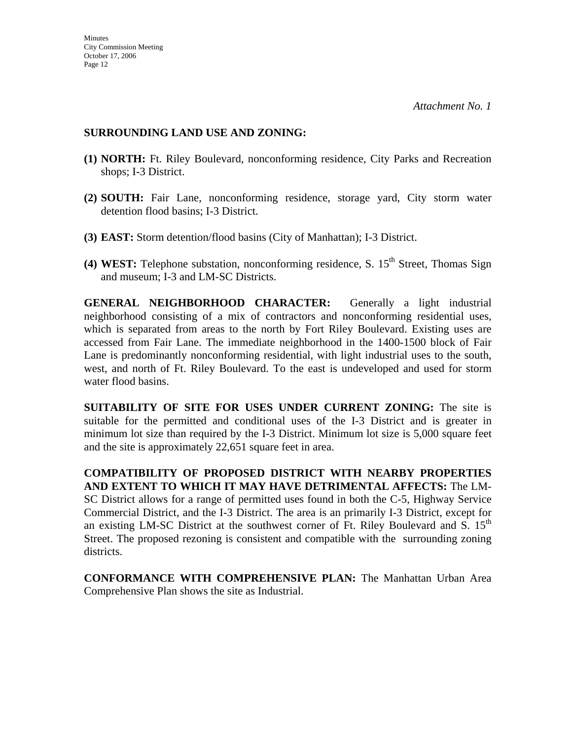#### **SURROUNDING LAND USE AND ZONING:**

- **(1) NORTH:** Ft. Riley Boulevard, nonconforming residence, City Parks and Recreation shops; I-3 District.
- **(2) SOUTH:** Fair Lane, nonconforming residence, storage yard, City storm water detention flood basins; I-3 District.
- **(3) EAST:** Storm detention/flood basins (City of Manhattan); I-3 District.
- **(4) WEST:** Telephone substation, nonconforming residence, S. 15<sup>th</sup> Street, Thomas Sign and museum; I-3 and LM-SC Districts.

**GENERAL NEIGHBORHOOD CHARACTER:** Generally a light industrial neighborhood consisting of a mix of contractors and nonconforming residential uses, which is separated from areas to the north by Fort Riley Boulevard. Existing uses are accessed from Fair Lane. The immediate neighborhood in the 1400-1500 block of Fair Lane is predominantly nonconforming residential, with light industrial uses to the south, west, and north of Ft. Riley Boulevard. To the east is undeveloped and used for storm water flood basins.

**SUITABILITY OF SITE FOR USES UNDER CURRENT ZONING:** The site is suitable for the permitted and conditional uses of the I-3 District and is greater in minimum lot size than required by the I-3 District. Minimum lot size is 5,000 square feet and the site is approximately 22,651 square feet in area.

**COMPATIBILITY OF PROPOSED DISTRICT WITH NEARBY PROPERTIES AND EXTENT TO WHICH IT MAY HAVE DETRIMENTAL AFFECTS:** The LM-SC District allows for a range of permitted uses found in both the C-5, Highway Service Commercial District, and the I-3 District. The area is an primarily I-3 District, except for an existing LM-SC District at the southwest corner of Ft. Riley Boulevard and S.  $15<sup>th</sup>$ Street. The proposed rezoning is consistent and compatible with the surrounding zoning districts.

**CONFORMANCE WITH COMPREHENSIVE PLAN:** The Manhattan Urban Area Comprehensive Plan shows the site as Industrial.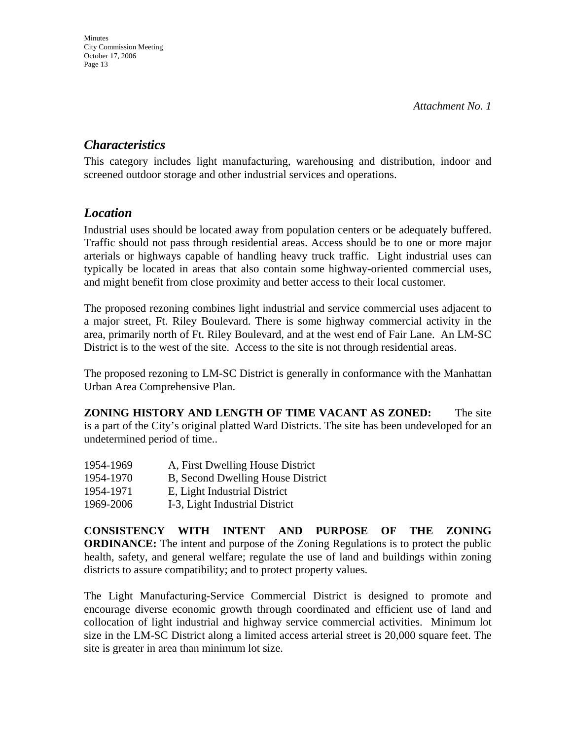# *Characteristics*

This category includes light manufacturing, warehousing and distribution, indoor and screened outdoor storage and other industrial services and operations.

# *Location*

Industrial uses should be located away from population centers or be adequately buffered. Traffic should not pass through residential areas. Access should be to one or more major arterials or highways capable of handling heavy truck traffic. Light industrial uses can typically be located in areas that also contain some highway-oriented commercial uses, and might benefit from close proximity and better access to their local customer.

The proposed rezoning combines light industrial and service commercial uses adjacent to a major street, Ft. Riley Boulevard. There is some highway commercial activity in the area, primarily north of Ft. Riley Boulevard, and at the west end of Fair Lane. An LM-SC District is to the west of the site. Access to the site is not through residential areas.

The proposed rezoning to LM-SC District is generally in conformance with the Manhattan Urban Area Comprehensive Plan.

**ZONING HISTORY AND LENGTH OF TIME VACANT AS ZONED:** The site is a part of the City's original platted Ward Districts. The site has been undeveloped for an undetermined period of time..

| 1954-1969 | A, First Dwelling House District  |
|-----------|-----------------------------------|
| 1954-1970 | B, Second Dwelling House District |
| 1954-1971 | E, Light Industrial District      |
| 1969-2006 | I-3, Light Industrial District    |

**CONSISTENCY WITH INTENT AND PURPOSE OF THE ZONING ORDINANCE:** The intent and purpose of the Zoning Regulations is to protect the public health, safety, and general welfare; regulate the use of land and buildings within zoning districts to assure compatibility; and to protect property values.

The Light Manufacturing-Service Commercial District is designed to promote and encourage diverse economic growth through coordinated and efficient use of land and collocation of light industrial and highway service commercial activities. Minimum lot size in the LM-SC District along a limited access arterial street is 20,000 square feet. The site is greater in area than minimum lot size.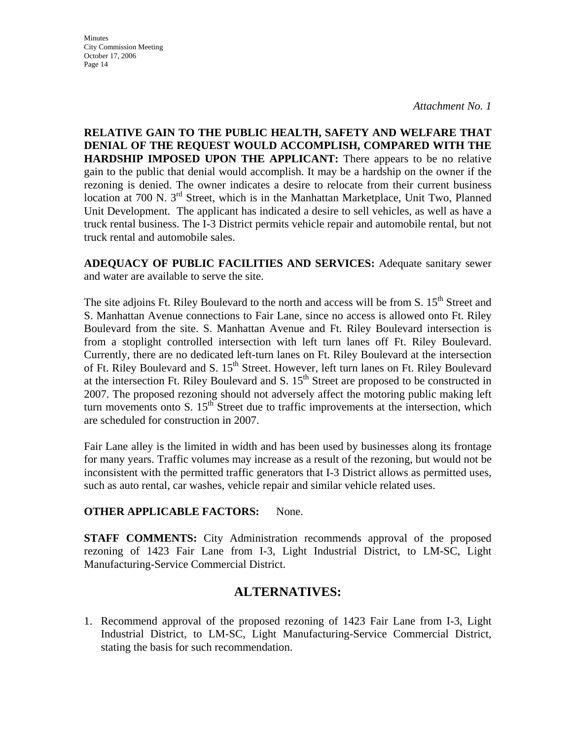**Minutes** City Commission Meeting October 17, 2006 Page 14

*Attachment No. 1* 

**RELATIVE GAIN TO THE PUBLIC HEALTH, SAFETY AND WELFARE THAT DENIAL OF THE REQUEST WOULD ACCOMPLISH, COMPARED WITH THE HARDSHIP IMPOSED UPON THE APPLICANT:** There appears to be no relative gain to the public that denial would accomplish. It may be a hardship on the owner if the rezoning is denied. The owner indicates a desire to relocate from their current business location at 700 N. 3<sup>rd</sup> Street, which is in the Manhattan Marketplace, Unit Two, Planned Unit Development. The applicant has indicated a desire to sell vehicles, as well as have a truck rental business. The I-3 District permits vehicle repair and automobile rental, but not truck rental and automobile sales.

**ADEQUACY OF PUBLIC FACILITIES AND SERVICES:** Adequate sanitary sewer and water are available to serve the site.

The site adjoins Ft. Riley Boulevard to the north and access will be from S. 15<sup>th</sup> Street and S. Manhattan Avenue connections to Fair Lane, since no access is allowed onto Ft. Riley Boulevard from the site. S. Manhattan Avenue and Ft. Riley Boulevard intersection is from a stoplight controlled intersection with left turn lanes off Ft. Riley Boulevard. Currently, there are no dedicated left-turn lanes on Ft. Riley Boulevard at the intersection of Ft. Riley Boulevard and S. 15<sup>th</sup> Street. However, left turn lanes on Ft. Riley Boulevard at the intersection Ft. Riley Boulevard and S.  $15<sup>th</sup>$  Street are proposed to be constructed in 2007. The proposed rezoning should not adversely affect the motoring public making left turn movements onto S.  $15<sup>th</sup>$  Street due to traffic improvements at the intersection, which are scheduled for construction in 2007.

Fair Lane alley is the limited in width and has been used by businesses along its frontage for many years. Traffic volumes may increase as a result of the rezoning, but would not be inconsistent with the permitted traffic generators that I-3 District allows as permitted uses, such as auto rental, car washes, vehicle repair and similar vehicle related uses.

#### **OTHER APPLICABLE FACTORS:** None.

**STAFF COMMENTS:** City Administration recommends approval of the proposed rezoning of 1423 Fair Lane from I-3, Light Industrial District, to LM-SC, Light Manufacturing-Service Commercial District.

# **ALTERNATIVES:**

1. Recommend approval of the proposed rezoning of 1423 Fair Lane from I-3, Light Industrial District, to LM-SC, Light Manufacturing-Service Commercial District, stating the basis for such recommendation.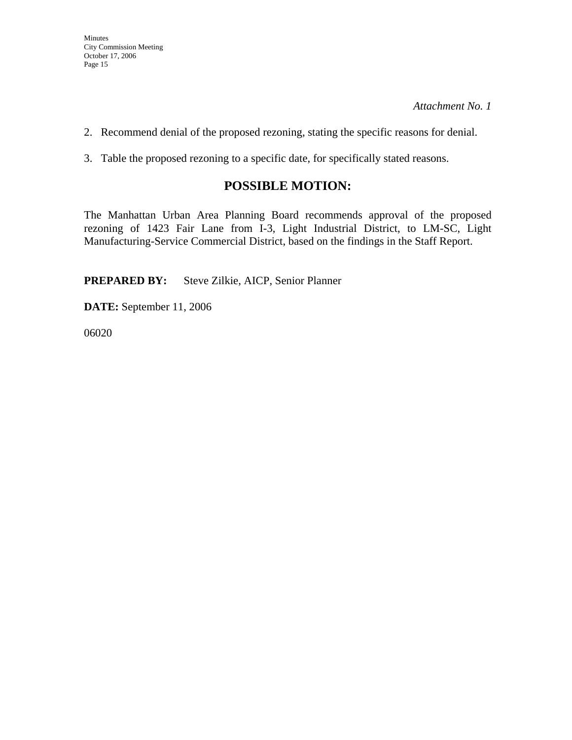2. Recommend denial of the proposed rezoning, stating the specific reasons for denial.

3. Table the proposed rezoning to a specific date, for specifically stated reasons.

# **POSSIBLE MOTION:**

The Manhattan Urban Area Planning Board recommends approval of the proposed rezoning of 1423 Fair Lane from I-3, Light Industrial District, to LM-SC, Light Manufacturing-Service Commercial District, based on the findings in the Staff Report.

**PREPARED BY:** Steve Zilkie, AICP, Senior Planner

**DATE:** September 11, 2006

06020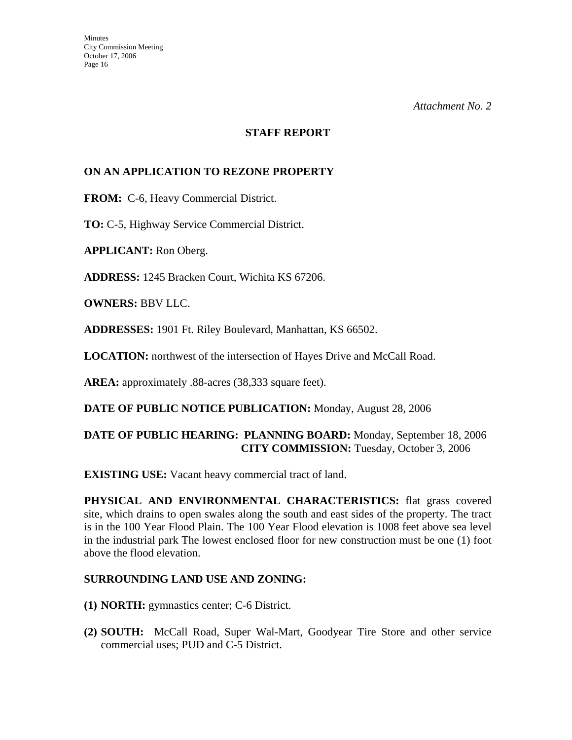### **STAFF REPORT**

## **ON AN APPLICATION TO REZONE PROPERTY**

**FROM:** C-6, Heavy Commercial District.

**TO:** C-5, Highway Service Commercial District.

**APPLICANT:** Ron Oberg.

**ADDRESS:** 1245 Bracken Court, Wichita KS 67206.

**OWNERS:** BBV LLC.

**ADDRESSES:** 1901 Ft. Riley Boulevard, Manhattan, KS 66502.

**LOCATION:** northwest of the intersection of Hayes Drive and McCall Road.

**AREA:** approximately .88-acres (38,333 square feet).

**DATE OF PUBLIC NOTICE PUBLICATION:** Monday, August 28, 2006

# **DATE OF PUBLIC HEARING: PLANNING BOARD:** Monday, September 18, 2006 **CITY COMMISSION:** Tuesday, October 3, 2006

**EXISTING USE:** Vacant heavy commercial tract of land.

**PHYSICAL AND ENVIRONMENTAL CHARACTERISTICS:** flat grass covered site, which drains to open swales along the south and east sides of the property. The tract is in the 100 Year Flood Plain. The 100 Year Flood elevation is 1008 feet above sea level in the industrial park The lowest enclosed floor for new construction must be one (1) foot above the flood elevation.

#### **SURROUNDING LAND USE AND ZONING:**

- **(1) NORTH:** gymnastics center; C-6 District.
- **(2) SOUTH:** McCall Road, Super Wal-Mart, Goodyear Tire Store and other service commercial uses; PUD and C-5 District.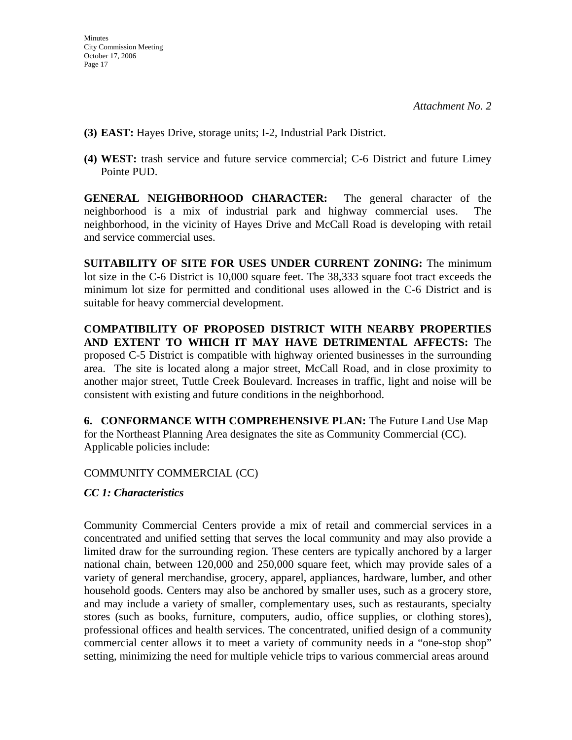- **(3) EAST:** Hayes Drive, storage units; I-2, Industrial Park District.
- **(4) WEST:** trash service and future service commercial; C-6 District and future Limey Pointe PUD.

**GENERAL NEIGHBORHOOD CHARACTER:** The general character of the neighborhood is a mix of industrial park and highway commercial uses. The neighborhood, in the vicinity of Hayes Drive and McCall Road is developing with retail and service commercial uses.

**SUITABILITY OF SITE FOR USES UNDER CURRENT ZONING:** The minimum lot size in the C-6 District is 10,000 square feet. The 38,333 square foot tract exceeds the minimum lot size for permitted and conditional uses allowed in the C-6 District and is suitable for heavy commercial development.

**COMPATIBILITY OF PROPOSED DISTRICT WITH NEARBY PROPERTIES AND EXTENT TO WHICH IT MAY HAVE DETRIMENTAL AFFECTS:** The proposed C-5 District is compatible with highway oriented businesses in the surrounding area. The site is located along a major street, McCall Road, and in close proximity to another major street, Tuttle Creek Boulevard. Increases in traffic, light and noise will be consistent with existing and future conditions in the neighborhood.

**6. CONFORMANCE WITH COMPREHENSIVE PLAN:** The Future Land Use Map for the Northeast Planning Area designates the site as Community Commercial (CC). Applicable policies include:

# COMMUNITY COMMERCIAL (CC)

# *CC 1: Characteristics*

Community Commercial Centers provide a mix of retail and commercial services in a concentrated and unified setting that serves the local community and may also provide a limited draw for the surrounding region. These centers are typically anchored by a larger national chain, between 120,000 and 250,000 square feet, which may provide sales of a variety of general merchandise, grocery, apparel, appliances, hardware, lumber, and other household goods. Centers may also be anchored by smaller uses, such as a grocery store, and may include a variety of smaller, complementary uses, such as restaurants, specialty stores (such as books, furniture, computers, audio, office supplies, or clothing stores), professional offices and health services. The concentrated, unified design of a community commercial center allows it to meet a variety of community needs in a "one-stop shop" setting, minimizing the need for multiple vehicle trips to various commercial areas around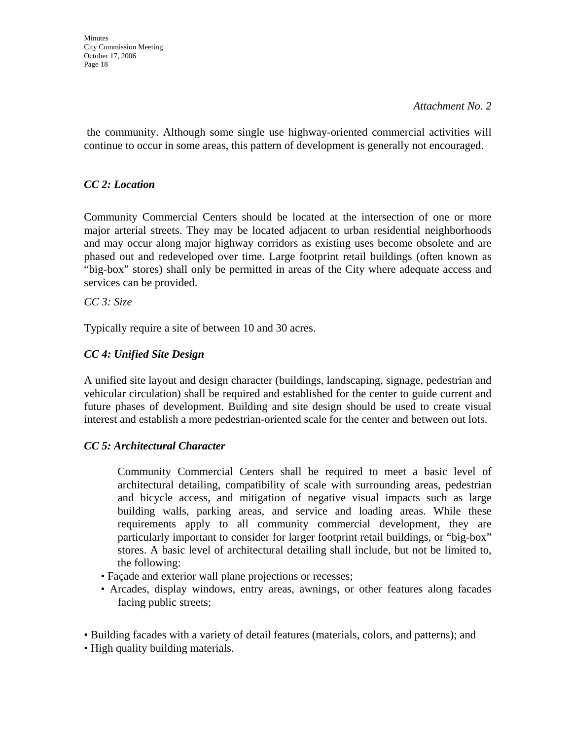**Minutes** City Commission Meeting October 17, 2006 Page 18

*Attachment No. 2* 

 the community. Although some single use highway-oriented commercial activities will continue to occur in some areas, this pattern of development is generally not encouraged.

# *CC 2: Location*

Community Commercial Centers should be located at the intersection of one or more major arterial streets. They may be located adjacent to urban residential neighborhoods and may occur along major highway corridors as existing uses become obsolete and are phased out and redeveloped over time. Large footprint retail buildings (often known as "big-box" stores) shall only be permitted in areas of the City where adequate access and services can be provided.

*CC 3: Size* 

Typically require a site of between 10 and 30 acres.

# *CC 4: Unified Site Design*

A unified site layout and design character (buildings, landscaping, signage, pedestrian and vehicular circulation) shall be required and established for the center to guide current and future phases of development. Building and site design should be used to create visual interest and establish a more pedestrian-oriented scale for the center and between out lots.

## *CC 5: Architectural Character*

 Community Commercial Centers shall be required to meet a basic level of architectural detailing, compatibility of scale with surrounding areas, pedestrian and bicycle access, and mitigation of negative visual impacts such as large building walls, parking areas, and service and loading areas. While these requirements apply to all community commercial development, they are particularly important to consider for larger footprint retail buildings, or "big-box" stores. A basic level of architectural detailing shall include, but not be limited to, the following:

- Façade and exterior wall plane projections or recesses;
- Arcades, display windows, entry areas, awnings, or other features along facades facing public streets;
- Building facades with a variety of detail features (materials, colors, and patterns); and
- High quality building materials.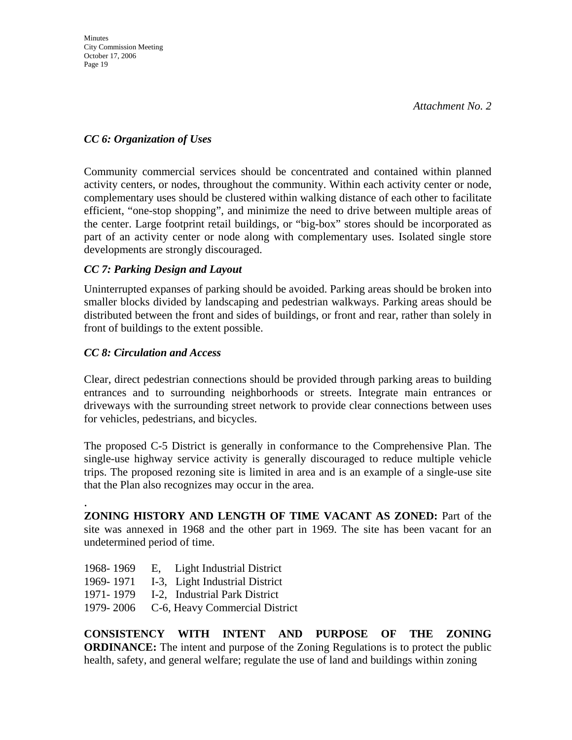# *CC 6: Organization of Uses*

Community commercial services should be concentrated and contained within planned activity centers, or nodes, throughout the community. Within each activity center or node, complementary uses should be clustered within walking distance of each other to facilitate efficient, "one-stop shopping", and minimize the need to drive between multiple areas of the center. Large footprint retail buildings, or "big-box" stores should be incorporated as part of an activity center or node along with complementary uses. Isolated single store developments are strongly discouraged.

# *CC 7: Parking Design and Layout*

Uninterrupted expanses of parking should be avoided. Parking areas should be broken into smaller blocks divided by landscaping and pedestrian walkways. Parking areas should be distributed between the front and sides of buildings, or front and rear, rather than solely in front of buildings to the extent possible.

# *CC 8: Circulation and Access*

.

Clear, direct pedestrian connections should be provided through parking areas to building entrances and to surrounding neighborhoods or streets. Integrate main entrances or driveways with the surrounding street network to provide clear connections between uses for vehicles, pedestrians, and bicycles.

The proposed C-5 District is generally in conformance to the Comprehensive Plan. The single-use highway service activity is generally discouraged to reduce multiple vehicle trips. The proposed rezoning site is limited in area and is an example of a single-use site that the Plan also recognizes may occur in the area.

**ZONING HISTORY AND LENGTH OF TIME VACANT AS ZONED:** Part of the site was annexed in 1968 and the other part in 1969. The site has been vacant for an undetermined period of time.

- 1968- 1969 E, Light Industrial District
- 1969- 1971 I-3, Light Industrial District
- 1971- 1979 I-2, Industrial Park District
- 1979- 2006 C-6, Heavy Commercial District

**CONSISTENCY WITH INTENT AND PURPOSE OF THE ZONING ORDINANCE:** The intent and purpose of the Zoning Regulations is to protect the public health, safety, and general welfare; regulate the use of land and buildings within zoning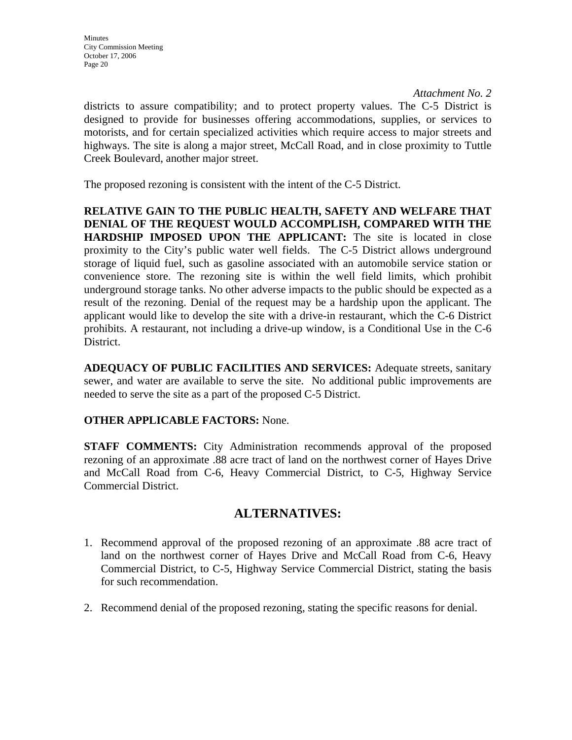districts to assure compatibility; and to protect property values. The C-5 District is designed to provide for businesses offering accommodations, supplies, or services to motorists, and for certain specialized activities which require access to major streets and highways. The site is along a major street, McCall Road, and in close proximity to Tuttle Creek Boulevard, another major street.

The proposed rezoning is consistent with the intent of the C-5 District.

**RELATIVE GAIN TO THE PUBLIC HEALTH, SAFETY AND WELFARE THAT DENIAL OF THE REQUEST WOULD ACCOMPLISH, COMPARED WITH THE HARDSHIP IMPOSED UPON THE APPLICANT:** The site is located in close proximity to the City's public water well fields. The C-5 District allows underground storage of liquid fuel, such as gasoline associated with an automobile service station or convenience store. The rezoning site is within the well field limits, which prohibit underground storage tanks. No other adverse impacts to the public should be expected as a result of the rezoning. Denial of the request may be a hardship upon the applicant. The applicant would like to develop the site with a drive-in restaurant, which the C-6 District prohibits. A restaurant, not including a drive-up window, is a Conditional Use in the C-6 District.

**ADEQUACY OF PUBLIC FACILITIES AND SERVICES:** Adequate streets, sanitary sewer, and water are available to serve the site. No additional public improvements are needed to serve the site as a part of the proposed C-5 District.

## **OTHER APPLICABLE FACTORS:** None.

**STAFF COMMENTS:** City Administration recommends approval of the proposed rezoning of an approximate .88 acre tract of land on the northwest corner of Hayes Drive and McCall Road from C-6, Heavy Commercial District, to C-5, Highway Service Commercial District.

# **ALTERNATIVES:**

- 1. Recommend approval of the proposed rezoning of an approximate .88 acre tract of land on the northwest corner of Hayes Drive and McCall Road from C-6, Heavy Commercial District, to C-5, Highway Service Commercial District, stating the basis for such recommendation.
- 2. Recommend denial of the proposed rezoning, stating the specific reasons for denial.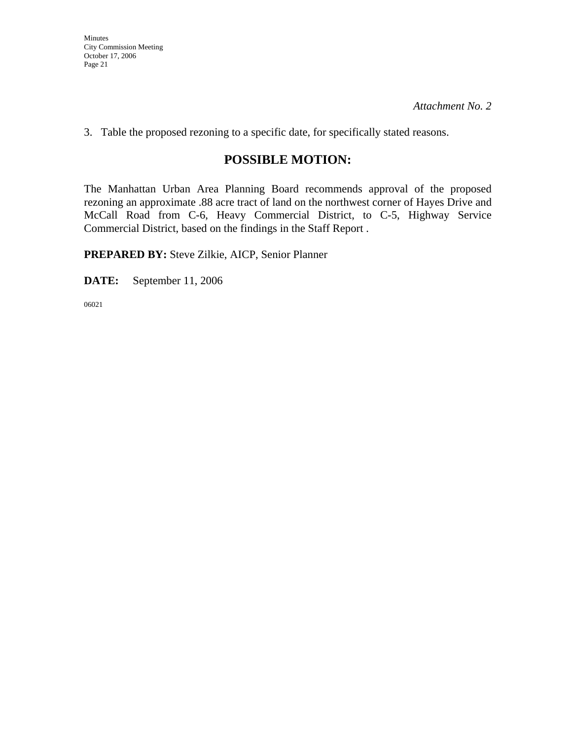Minutes City Commission Meeting October 17, 2006 Page 21

*Attachment No. 2* 

3. Table the proposed rezoning to a specific date, for specifically stated reasons.

# **POSSIBLE MOTION:**

The Manhattan Urban Area Planning Board recommends approval of the proposed rezoning an approximate .88 acre tract of land on the northwest corner of Hayes Drive and McCall Road from C-6, Heavy Commercial District, to C-5, Highway Service Commercial District, based on the findings in the Staff Report .

**PREPARED BY:** Steve Zilkie, AICP, Senior Planner

**DATE:** September 11, 2006

06021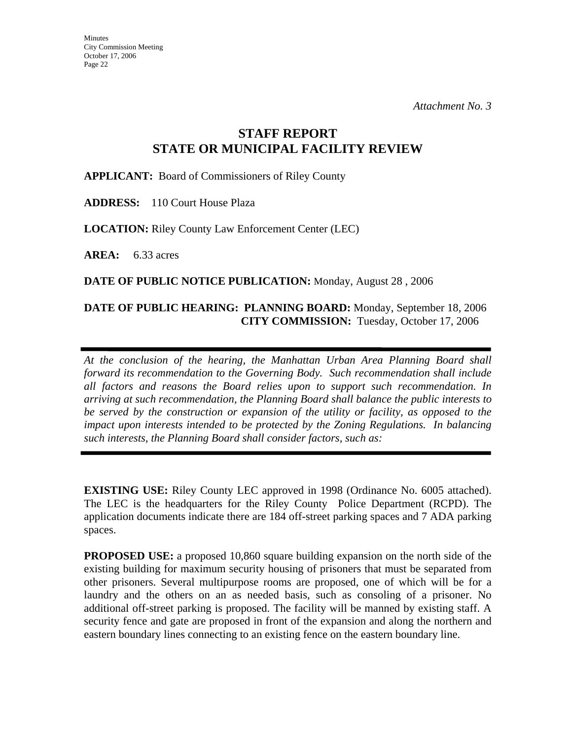# **STAFF REPORT STATE OR MUNICIPAL FACILITY REVIEW**

**APPLICANT:** Board of Commissioners of Riley County

**ADDRESS:** 110 Court House Plaza

**LOCATION:** Riley County Law Enforcement Center (LEC)

**AREA:** 6.33 acres

**DATE OF PUBLIC NOTICE PUBLICATION:** Monday, August 28 , 2006

## **DATE OF PUBLIC HEARING: PLANNING BOARD:** Monday, September 18, 2006 **CITY COMMISSION:** Tuesday, October 17, 2006

*At the conclusion of the hearing, the Manhattan Urban Area Planning Board shall forward its recommendation to the Governing Body. Such recommendation shall include all factors and reasons the Board relies upon to support such recommendation. In arriving at such recommendation, the Planning Board shall balance the public interests to be served by the construction or expansion of the utility or facility, as opposed to the impact upon interests intended to be protected by the Zoning Regulations. In balancing such interests, the Planning Board shall consider factors, such as:* 

**EXISTING USE:** Riley County LEC approved in 1998 (Ordinance No. 6005 attached). The LEC is the headquarters for the Riley County Police Department (RCPD). The application documents indicate there are 184 off-street parking spaces and 7 ADA parking spaces.

**PROPOSED USE:** a proposed 10,860 square building expansion on the north side of the existing building for maximum security housing of prisoners that must be separated from other prisoners. Several multipurpose rooms are proposed, one of which will be for a laundry and the others on an as needed basis, such as consoling of a prisoner. No additional off-street parking is proposed. The facility will be manned by existing staff. A security fence and gate are proposed in front of the expansion and along the northern and eastern boundary lines connecting to an existing fence on the eastern boundary line.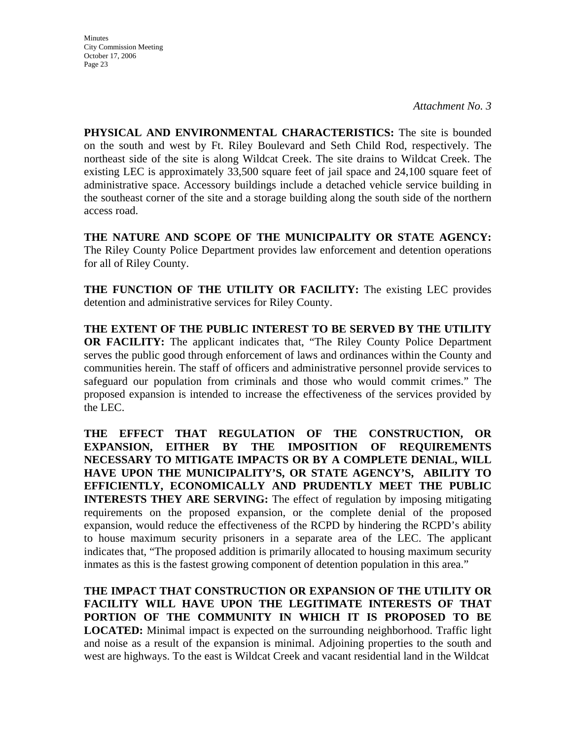**Minutes** City Commission Meeting October 17, 2006 Page 23

*Attachment No. 3* 

**PHYSICAL AND ENVIRONMENTAL CHARACTERISTICS:** The site is bounded on the south and west by Ft. Riley Boulevard and Seth Child Rod, respectively. The northeast side of the site is along Wildcat Creek. The site drains to Wildcat Creek. The existing LEC is approximately 33,500 square feet of jail space and 24,100 square feet of administrative space. Accessory buildings include a detached vehicle service building in the southeast corner of the site and a storage building along the south side of the northern access road.

**THE NATURE AND SCOPE OF THE MUNICIPALITY OR STATE AGENCY:**  The Riley County Police Department provides law enforcement and detention operations for all of Riley County.

**THE FUNCTION OF THE UTILITY OR FACILITY:** The existing LEC provides detention and administrative services for Riley County.

**THE EXTENT OF THE PUBLIC INTEREST TO BE SERVED BY THE UTILITY OR FACILITY:** The applicant indicates that, "The Riley County Police Department serves the public good through enforcement of laws and ordinances within the County and communities herein. The staff of officers and administrative personnel provide services to safeguard our population from criminals and those who would commit crimes." The proposed expansion is intended to increase the effectiveness of the services provided by the LEC.

**THE EFFECT THAT REGULATION OF THE CONSTRUCTION, OR EXPANSION, EITHER BY THE IMPOSITION OF REQUIREMENTS NECESSARY TO MITIGATE IMPACTS OR BY A COMPLETE DENIAL, WILL HAVE UPON THE MUNICIPALITY'S, OR STATE AGENCY'S, ABILITY TO EFFICIENTLY, ECONOMICALLY AND PRUDENTLY MEET THE PUBLIC INTERESTS THEY ARE SERVING:** The effect of regulation by imposing mitigating requirements on the proposed expansion, or the complete denial of the proposed expansion, would reduce the effectiveness of the RCPD by hindering the RCPD's ability to house maximum security prisoners in a separate area of the LEC. The applicant indicates that, "The proposed addition is primarily allocated to housing maximum security inmates as this is the fastest growing component of detention population in this area."

**THE IMPACT THAT CONSTRUCTION OR EXPANSION OF THE UTILITY OR FACILITY WILL HAVE UPON THE LEGITIMATE INTERESTS OF THAT PORTION OF THE COMMUNITY IN WHICH IT IS PROPOSED TO BE LOCATED:** Minimal impact is expected on the surrounding neighborhood. Traffic light and noise as a result of the expansion is minimal. Adjoining properties to the south and west are highways. To the east is Wildcat Creek and vacant residential land in the Wildcat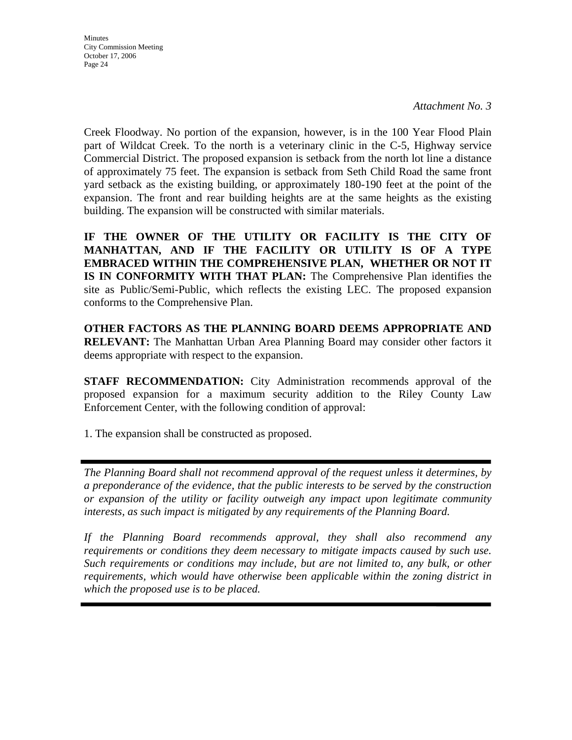**Minutes** City Commission Meeting October 17, 2006 Page 24

Creek Floodway. No portion of the expansion, however, is in the 100 Year Flood Plain part of Wildcat Creek. To the north is a veterinary clinic in the C-5, Highway service Commercial District. The proposed expansion is setback from the north lot line a distance of approximately 75 feet. The expansion is setback from Seth Child Road the same front yard setback as the existing building, or approximately 180-190 feet at the point of the expansion. The front and rear building heights are at the same heights as the existing building. The expansion will be constructed with similar materials.

**IF THE OWNER OF THE UTILITY OR FACILITY IS THE CITY OF MANHATTAN, AND IF THE FACILITY OR UTILITY IS OF A TYPE EMBRACED WITHIN THE COMPREHENSIVE PLAN, WHETHER OR NOT IT IS IN CONFORMITY WITH THAT PLAN:** The Comprehensive Plan identifies the site as Public/Semi-Public, which reflects the existing LEC. The proposed expansion conforms to the Comprehensive Plan.

**OTHER FACTORS AS THE PLANNING BOARD DEEMS APPROPRIATE AND RELEVANT:** The Manhattan Urban Area Planning Board may consider other factors it deems appropriate with respect to the expansion.

**STAFF RECOMMENDATION:** City Administration recommends approval of the proposed expansion for a maximum security addition to the Riley County Law Enforcement Center, with the following condition of approval:

1. The expansion shall be constructed as proposed.

*The Planning Board shall not recommend approval of the request unless it determines, by a preponderance of the evidence, that the public interests to be served by the construction or expansion of the utility or facility outweigh any impact upon legitimate community interests, as such impact is mitigated by any requirements of the Planning Board.* 

*If the Planning Board recommends approval, they shall also recommend any requirements or conditions they deem necessary to mitigate impacts caused by such use. Such requirements or conditions may include, but are not limited to, any bulk, or other requirements, which would have otherwise been applicable within the zoning district in which the proposed use is to be placed.*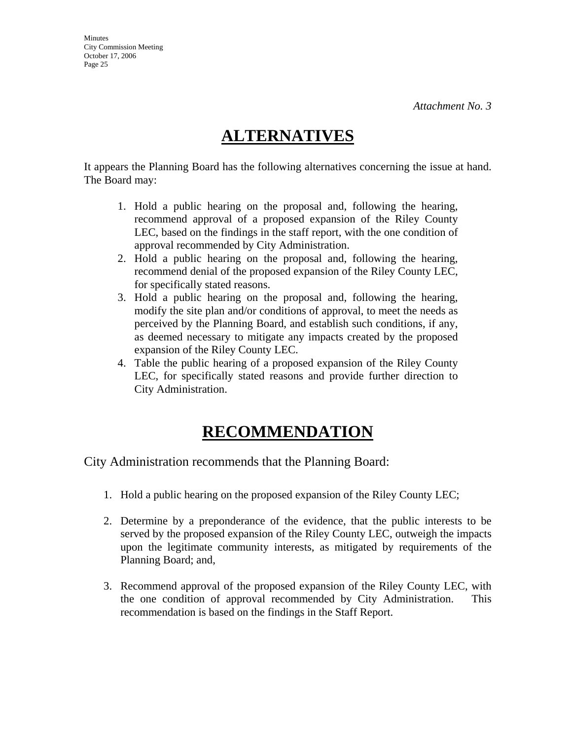# **ALTERNATIVES**

It appears the Planning Board has the following alternatives concerning the issue at hand. The Board may:

- 1. Hold a public hearing on the proposal and, following the hearing, recommend approval of a proposed expansion of the Riley County LEC, based on the findings in the staff report, with the one condition of approval recommended by City Administration.
- 2. Hold a public hearing on the proposal and, following the hearing, recommend denial of the proposed expansion of the Riley County LEC, for specifically stated reasons.
- 3. Hold a public hearing on the proposal and, following the hearing, modify the site plan and/or conditions of approval, to meet the needs as perceived by the Planning Board, and establish such conditions, if any, as deemed necessary to mitigate any impacts created by the proposed expansion of the Riley County LEC.
- 4. Table the public hearing of a proposed expansion of the Riley County LEC, for specifically stated reasons and provide further direction to City Administration.

# **RECOMMENDATION**

City Administration recommends that the Planning Board:

- 1. Hold a public hearing on the proposed expansion of the Riley County LEC;
- 2. Determine by a preponderance of the evidence, that the public interests to be served by the proposed expansion of the Riley County LEC, outweigh the impacts upon the legitimate community interests, as mitigated by requirements of the Planning Board; and,
- 3. Recommend approval of the proposed expansion of the Riley County LEC, with the one condition of approval recommended by City Administration. This recommendation is based on the findings in the Staff Report.